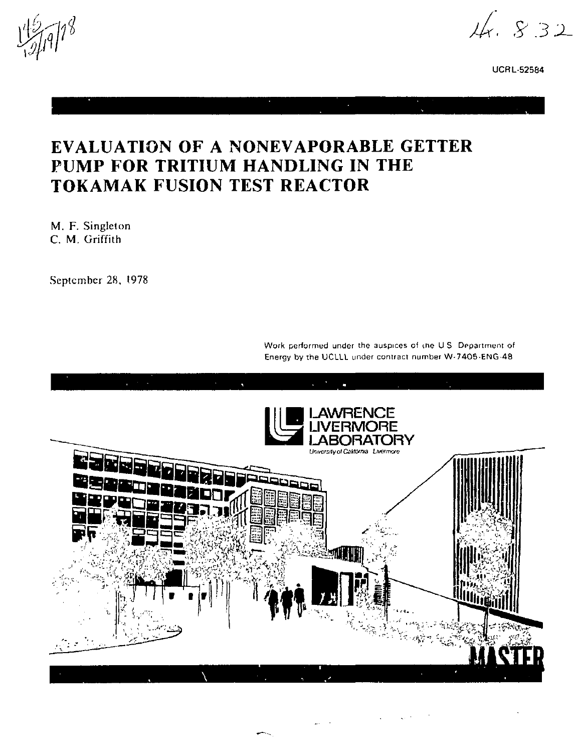$14.832$ 

**UCRL-52584** 

# EVALUATION OF A NONEVAPORABLE GETTER PUMP FOR TRITIUM HANDLING IN THE TOKAMAK FUSION TEST REACTOR

M. F. Singleton C. M. Griffith

September 28, 1978

Work performed under the auspices of the U.S. Department of Energy by the UCLLL under contract number W-7405-ENG-48

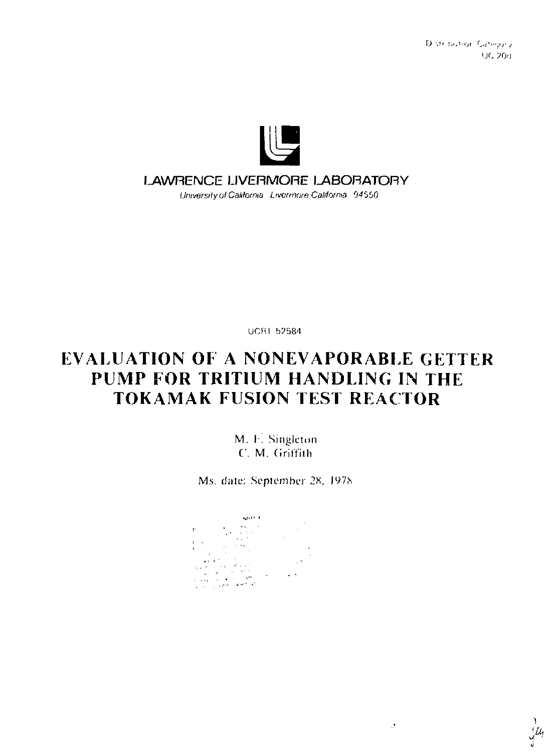Distribution Gategory UC. 20d



#### LAWRENCE LIVERMORE LABORATORY

University of California Livermore California 94550

**UCR1 52584** 

# **EVALUATION OF A NONEVAPORABLE GETTER** PUMP FOR TRITIUM HANDLING IN THE **TOKAMAK FUSION TEST REACTOR**

M. F. Singleton C. M. Griffith

Ms. date: September 28, 1978

ADM A



 $\mathcal{I}$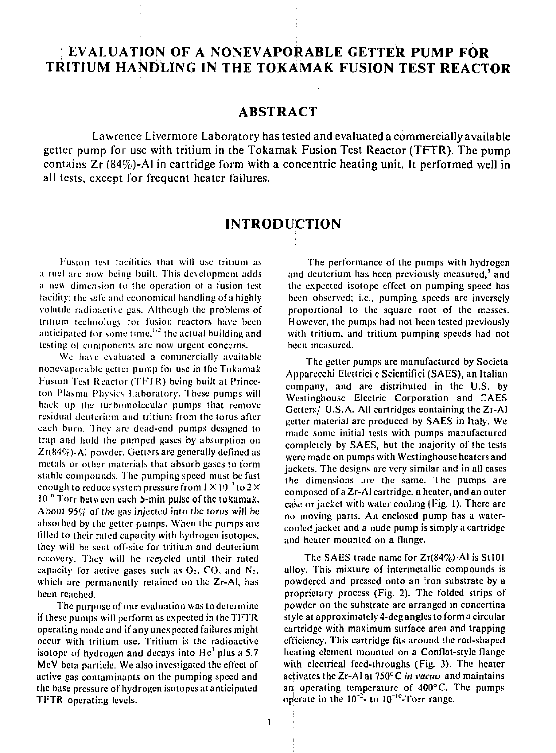## **EVALUATION OF A NONEVAPORABLE GETTER PUMP FOR TRITIUM HANDLING IN THE TOKAMAK FUSION TEST REACTOR**

## **ABSTRACT**

Lawrence Livermore Laboratory has tested and evaluated a commercially available getter pump for use with tritium in the Tokamak Fusion Test Reactor (TFTR). The pump contains Zr (84%)-Al in cartridge form with a concentric heating unit. It performed well in all tests, except for frequent heater failures.

## **INTRODUCTION**

fusion test facilities thai will use tritium as a fuel arc now being buill. This development adds a new dimension to the operation of a fusion test facility: the sale and economical handling of a highly volatile radioactive gas. Although the problems of tritium technology tor fusion reactors have been anticipated for some time,  $^{1/2}$  the actual building and testing of components are now urgent concerns.

We have evaluated a commercially available nonevaporable getter pump for use in the Tokamak Fusion Test Reactor (TFTR) being built at Princeton Plasma Physics Laboratory. These pumps will back up the turbomolecular pumps that remove residua! deuterium and tritium from the torus after each burn. 'I hey are dead-end pumps designed to trap and hold the pumped gases by absorption on Zr(84%)-Al powder. Getters are generally defined as metals or other materials that absorb gases to form stable compounds. The pumping speed must be fast enough to reduce system pressure from  $1 \times 10^{-3}$  to  $2 \times$ 10 " Torr between each 5-min pulse of the tokamak. About  $95\%$  of the gas injected into the torus will be absorbed by the getter pumps. When the pumps are filled to their rated capacity with hydrogen isotopes. they will be sent off-site for tritium and deuterium recovery. They will be recycled until their rated capacity for active gases such as  $O_2$ . CO, and  $N_2$ . which arc permanently retained on the Zr-AI, has been reached.

The purpose of our evaluation was to determine if these pumps will perform as expected in the TFTR operating mode and if any unexpected failures might occur with tritium use. Tritium is the radioactive isotope of hydrogen and decays into  $He<sup>3</sup>$  plus a 5.7 MeV beta particle. We also investigated the effect of active gas contaminants on the pumping speed and the base pressure of hydrogen isotopes at anticipated TFTR operating levels.

The performance of the pumps with hydrogen and deuterium has been previously measured,<sup>3</sup> and the expected isotope effect on pumping speed has been observed; i.e., pumping speeds are inversely proportional to the square root of the masses. However, the pumps had not been tested previously with tritium, and tritium pumping speeds had not been measured.

The getter pumps are manufactured by Societa Apparecchi Elettrici c Scicntifici (SAES), an Italian company, and are distributed in the U.S. by Westinghouse Electric Corporation and CAES Getters/ U.S.A. All cartridges containing the Zi-Al getter material are produced by SAES in Italy. We made some initial tests with pumps manufactured completely by SAES, but the majority of the tests were made on pumps with Westinghouse heaters and jackets. The designs are very similar and in all cases the dimensions are the same. The pumps are composed of a Zr-AI cartridge, a heater, and an outer case or jacket with water cooling (Fig. I). There arc no moving parts. An enclosed pump has a watercooled jacket and a nude pump is simply a cartridge and heater mounted on a flange.

The SAES trade name for Zr(84%)-AI is SlIOl alloy. This mixture of intermetallic compounds is powdered and pressed onto an iron substrate by a proprietary process (Fig. 2). The folded strips of powder on the substrate are arranged in concertina style at approximately 4-deg angles to form a circular cartridge with maximum surface area and trapping efficiency. This cartridge fits around the rod-shaped heating element mounted on a Conflat-style flange with electrical feed-throughs (Fig. 3). The heater activates the Zr-AI at 750°C *in vacuo* and maintains an! operating temperature of 400°C. The pumps operate in the  $10^{-2}$  to  $10^{-10}$ -Torr range.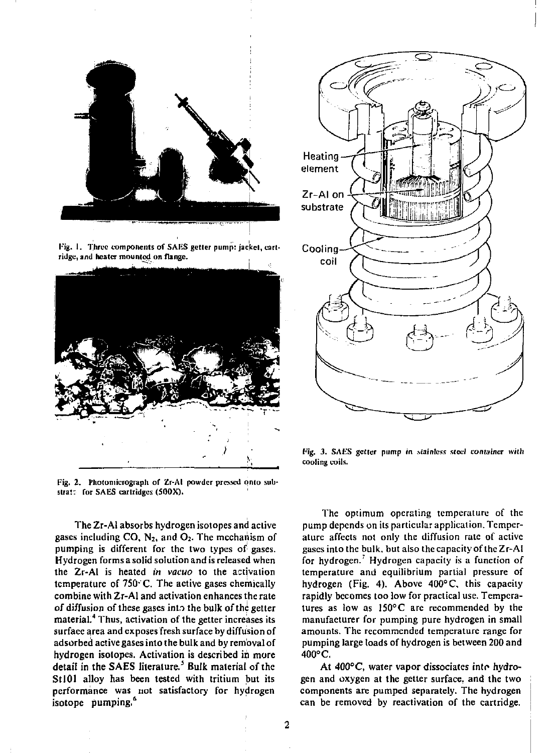

Fig. 1. Three components of SAKS getter pump: jacket, cartridge, and heater mounted on flange.



Pig, 2. Photomicrograph of Zr-AI powder pressed onto substrat: for SAES cartridges (500X).

The Zr-A! absorbs hydrogen isotopes and active gases including  $CO$ ,  $N_2$ , and  $O_2$ . The mechanism of pumping is different for the two types of gases. Hydrogen forms a solid solution and is released when the Zr-AI is heated *in vacuo* to the activation temperature of  $750^{\circ}$ C. The active gases chemically combine with Zr-AI and activation enhances the rate of diffusion of these gases into the bulk of the getter material.<sup>4</sup> Thus, activation of the getter increases its surface area and exposes fresh surface by diffusion of adsorbed active gases into the bulk and by removal of hydrogen isotopes. Activation is described in more detail in the SAES literature.<sup>5</sup> Bulk material of the StlOl alloy has been tested with tritium but its performance was not satisfactory for hydrogen isotope pumping.<sup>6</sup>



**Fig.** *3.* **SAtiS getter pump** *in stainless steel container with*  cooling coils.

The optimum operating temperature of the pump depends on its particular application. Temperature affects not only the diffusion rate of active gases into the bulk, but also the capacity of the Zr-AI for hydrogen.<sup>7</sup> Hydrogen capacity is a function of temperature and equilibrium partial pressure of hydrogen (Fig. 4). Above 400°C, this capacity rapidly becomes too low for practical use. Temperatures as low as 150°C are recommended by the manufacturer for pumping pure hydrogen in small amounts. The recommended temperature range for pumping large loads of hydrogen is between 200 and 400° C.

At 400°C, water vapor dissociates into hydrogen and oxygen at the getter surface, and the two components are pumped separately. The hydrogen can be removed by reactivation of the cartridge.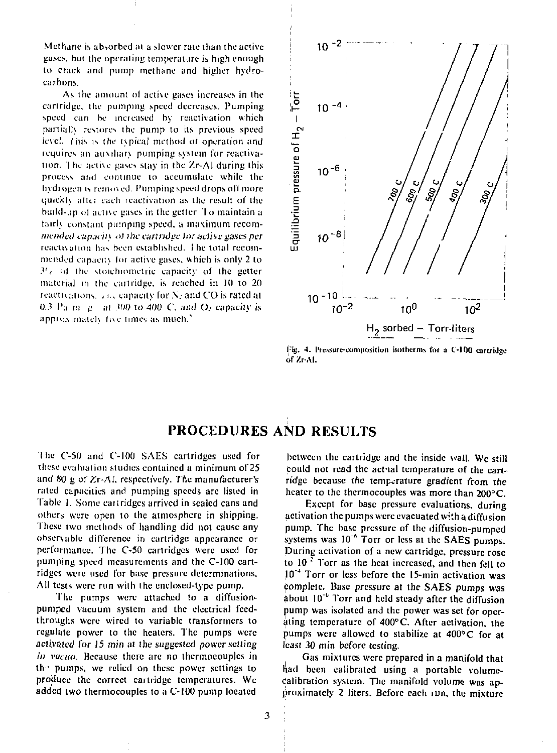Methane is absorbed al a slower rate than the active gases, but the operating temperature is high enough lo crack and pump methane and higher hydrocarbons.

As the amount of active gases increases in the cartridge, the pumping speed decreases. Pumping speed can be increased by reactivation which partialh restores the pump to its previous speed level. I his is the tvpical method ot operation and requires an auxiliary pumping system for reactivation. I he active gases slay in the Xr-Al during this process and continue to accumulate while the hydrogen is removed. Pumping speed drops off more quickly after each reactivation as the result of the build-up of active gases in the getter. To maintain a fairly constant pumping speed, a maximum recom*mended capacity of the cartridive for active gases per* reactivation has been established. I he total recommended capacity for active gases, which is only 2 to *3'r* ol the stoichiometric capacity of the getter material in the cartridge, is reached in 10 to 20 reactivations. f i... capacity for N. and CO is rated at 0.3 Pa  $m_{\text{H}}$  at 300 to 400 C, and  $O_{\text{F}}$  capacity is approximately five times as much.<sup>8</sup>



Pig. 4. I're.ssurc-L'onipositiun isotherms for a C'-lUO cartridge of Zr-AI.

# PROCEDURES AND RESULTS

The C-50 and C-100 SAES cartridges used for these evaluation studies contained a minimum of 25 and 80 g of Zr-Af. respectively *The* manufacturer's rated capacities and pumping speeds are listed in Table 1. Some cartridges arrived in sealed cans and others were open to the atmosphere in shipping. These two methods of handling did not cause any observable difference in cartridge appearance or performance. The C-50 cartridges were used for pumping speed measurements and the C-100 cartridges were used for base pressure determinations. All tests were run with the encloscd-typc pump.

The pumps were attached lo a diffusionpumped vacuum system and the electrical fecdthroughs were wired to variable transformers to regulate power to the heaters. The pumps were activated for 15 min at the suggested power setting *in vacuo.* Because there arc no thermocouples in the pumps, we relied on these power settings to produce the correct cartridge temperatures. We added two thermocouples to a C-100 pump located

between the cartridge and the inside wall. We still could not read the actual temperature of the cartridge because the temperature gradient from tne heater to the thermocouples was more than 200°C.

Except for base pressure evaluations, during activation the pumps were evacuated with a diffusion pump. The base pressure of the diffusion-pumped systems was  $10^{-6}$  Torr or less at the SAES pumps. During activation of a new cartridge, pressure rose to 10": Torr as the heat increased, and then fell to 10~<sup>4</sup> Torr or less before the 15-min activation was complete. Base pressure at the SAES pumps was about 10"'' Torr and held steady after the diffusion pump was isolated and the power was set for operating temperature of 400°C. After activation, the pumps were allowed to stabilize at 400° C for at least 30 min before testing.

Gas mixtures were prepared in a manifold that had been calibrated using a portable volumecalibration system. The manifold volume was approximately 2 liters. Before each run, the mixture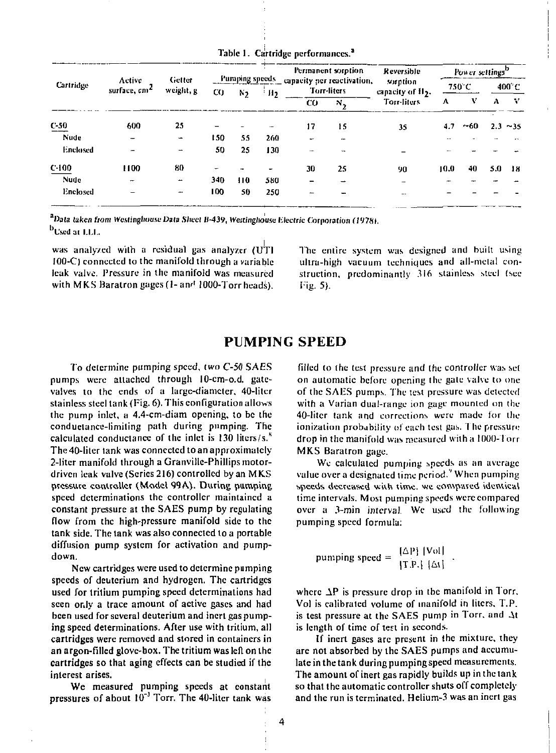|             |                                    |                          |      |     |      |     | Permanent sorption                                       | Reversible                                |      | Power settings <sup>b</sup> |     |       |
|-------------|------------------------------------|--------------------------|------|-----|------|-----|----------------------------------------------------------|-------------------------------------------|------|-----------------------------|-----|-------|
| Cartridge   | Active<br>surface, cm <sup>2</sup> | Getter<br>weight, g      | CO.  | N9. | ÷H2. |     | Pumping speeds capacity per reactivation,<br>Turr-liters | sorption<br>capacity of II <sub>2</sub> . |      | 750°C                       |     | 400°C |
|             |                                    |                          |      |     |      | CO. | $N_{\alpha}$                                             | Torr-liters                               | А    | v                           | А   | - 77  |
| $C-50$      | 600                                | 25                       | -    |     |      | 17  | 15                                                       | 35                                        | 4.7  | ~1.60                       | 2.3 | ~15   |
| <b>Nude</b> |                                    | $\overline{\phantom{a}}$ | t 50 | 55  | 260  | ÷   |                                                          |                                           |      |                             |     |       |
| Enclosed    |                                    |                          | 50   | 25  | 130  |     |                                                          |                                           |      |                             |     |       |
| $C-100$     | 1100                               | 80                       |      |     |      | 30  | 25                                                       | 90                                        | 10.0 | 40                          | 5.0 | -18   |
| Nude        | -                                  | $\overline{\phantom{a}}$ | 340  | 110 | 580  |     |                                                          |                                           |      |                             |     |       |
| Enclosed    |                                    |                          | 100  | 50  | 250  |     |                                                          |                                           |      |                             |     |       |
|             |                                    |                          |      |     |      |     |                                                          |                                           |      |                             |     |       |

Table 1. Cartridge performances.<sup>3</sup>

<sup>a</sup>Data taken from Westinghouse Data Sheet B-439, Westinghouse Electric Corporation (1978). <sup>b</sup>Used at LLL.

was analyzed with a residual gas analyzer  $fU$ Tl  $100-C$ ) connected to the manifold through a variable leak valve. Pressure in the manifold was measured with MKS Baratron gages (1- and 1000-Torr heads).

The entire system was designed and built using ultra-high vacuum techniques and all-metal construction, predominantly 316 stainless steel (see Fig. 5).

## **PUMPING SPEED**

To determine pumping speed, two C-50 SAES numps were attached through 10-cm-o.d. gatevalves to the ends of a large-diameter, 40-liter stainless steel tank (Fig.  $6$ ). This configuration allows the pump inlet, a 4.4-cm-diam opening, to be the conductance-limiting path during pumping. The calculated conductance of the inlet is 130 liters/s.<sup>8</sup> The 40-liter tank was connected to an approximately 2-liter manifold through a Granville-Phillips motordriven leak valve (Series 216) controlled by an MKS pressure controller (Model 99A). During pumping speed determinations the controller maintained a constant pressure at the SAES pump by regulating flow from the high-pressure manifold side to the tank side. The tank was also connected to a portable diffusion pump system for activation and pumpdown.

New cartridges were used to determine pumping speeds of deuterium and hydrogen. The cartridges used for tritium pumping speed determinations had seen only a trace amount of active gases and had been used for several deuterium and inert gas numping speed determinations. After use with tritium, all cartridges were removed and stored in containers in an argon-filled glove-box. The tritium was left on the cartridges so that aging effects can be studied if the interest arises.

We measured pumping speeds at constant pressures of about 10<sup>-3</sup> Torr. The 40-liter tank was

filled to the test pressure and the controller was set on automatic before opening the gate valve to one of the SAES pumps. The test pressure was detected with a Varian dual-range ion gage mounted on the 40-liter tank and corrections were made for the ionization probability of each test gas. The pressure drop in the manifold was measured with a 1000-Torr MKS Baratron gage.

We calculated pumping speeds as an average value over a designated time period. When pumping speeds decreased with time, we compared identical time intervals. Most pumping speeds were compared over a 3-min interval. We used the following pumping speed formula:

pumping speed =  $\frac{[\Delta P] |Vol|}{[\Gamma P] |\Delta V|}$ 

where  $\Delta P$  is pressure drop in the manifold in Torr, Vol is calibrated volume of manifold in liters, T.P. is test pressure at the SAES pump in Torr, and At is length of time of test in seconds.

If inert gases are present in the mixture, they are not absorbed by the SAES pumps and accumulate in the tank during pumping speed measurements. The amount of inert gas rapidly builds up in the tank so that the automatic controller shuts off completely and the run is terminated. Helium-3 was an inert gas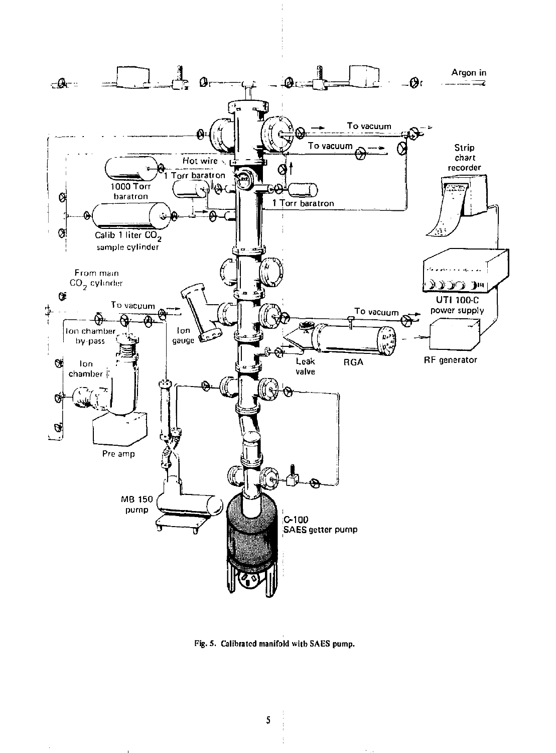

Fig. 5. Calibrated manifold with SAES pump.

5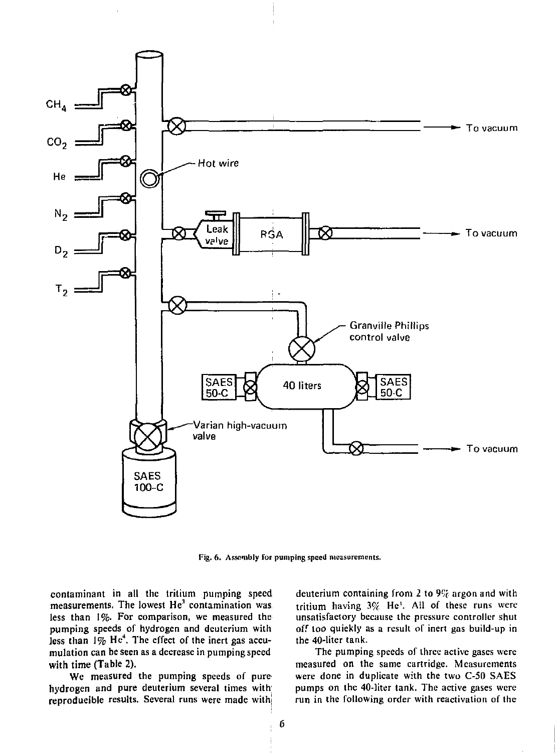

Fig. 6. Assembly for pumping speed measurements.

contaminant in all the tritium pumping speed measurements, The lowest *He<sup>3</sup>* contamination was less than 1%. For comparison, we measured the pumping speeds of hydrogen and deuterium with less than 1% He<sup>4</sup>. The effect of the inert gas accumulation can be seen as a decrease in pumping speed with time (Table 2).

We measured the pumping speeds of pure hydrogen and pure deuterium several times with reproducible results. Several runs were made with deuterium containing from 2 to *9%* argon and with tritium having  $3\%$  He<sup>3</sup>. All of these runs were unsatisfactory because the pressure controller shut off too quickly as a result of inert gas build-up in the 40-liter tank.

The pumping speeds of three active gases were measured on the same cartridge. Measurements were done in duplicate with the two C-50 SAES pumps on the 40-liter tank. The active gases were run in the following order with reactivation of the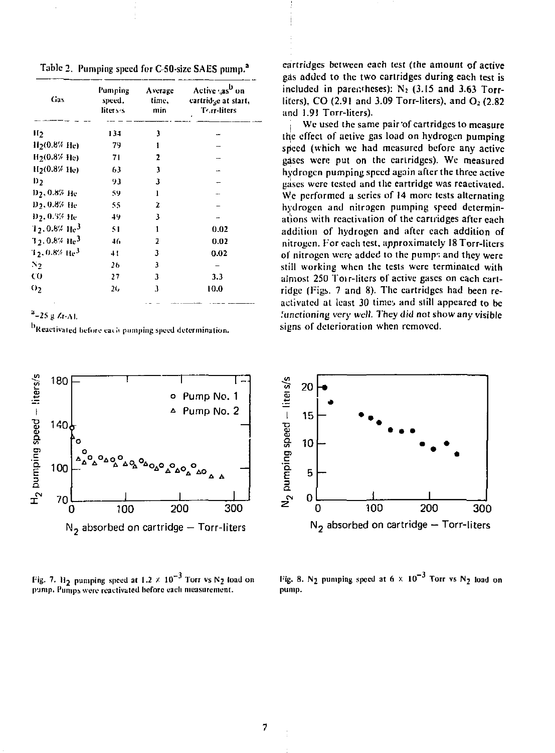Table 2. Pumping speed for C-50-size SAES pump.<sup>2</sup>

| Gas                          | Pumping<br>speed.<br>liters s | Average<br>time,<br>min | Active "as <sup>b</sup> on<br>eartridge at start,<br>Tor-liters |
|------------------------------|-------------------------------|-------------------------|-----------------------------------------------------------------|
| H <sub>2</sub>               | 134                           | 3                       |                                                                 |
| 115(0.8% He)                 | 79                            | 1                       |                                                                 |
| $H_2(0.87 \text{ He})$       | 71                            | 2                       |                                                                 |
| $H_2(0.8%$ He)               | 63                            | 3                       |                                                                 |
| D2                           | 93                            | 3                       |                                                                 |
| D7, 0.8% He                  | 59                            | 1                       |                                                                 |
| D5, 0.8% He                  | 55                            | ż                       |                                                                 |
| D <sub>2</sub> , 0.5% He     | 49                            | 3                       |                                                                 |
| $1.0.8\%$ He <sup>3</sup>    | 51                            |                         | 0.02                                                            |
| $3.5, 0.8\%$ He <sup>3</sup> | 46                            | 7                       | 0.02                                                            |
| $1$ 5, 0.8% He $^{\rm 3}$    | 41                            | 3                       | 0.02                                                            |
| N2                           | 26                            | 3                       |                                                                 |
| co                           | 27                            | 3                       | 3.3                                                             |
| 05                           | 26                            | 3                       | 10.0                                                            |

 $a - 25 g A - A1$ 

<sup>b</sup>Reactivated before each pumping speed determination.



Fig. 7.  $H_2$  pumping speed at 1.2  $\times$  10<sup>-3</sup> Torr vs N<sub>2</sub> load on pump. Pumps were reactivated before each measurement.

cartridges between each test (the amount of active gas added to the two cartridges during each test is included in parentheses):  $N_2$  (3.15 and 3.63 Torrliters),  $CO(2.91$  and  $3.09$  Torr-liters), and  $O<sub>2</sub>(2.82)$ and 1.91 Torr-liters).

We used the same pair of cartridges to measure the effect of active gas load on hydrogen pumping speed (which we had measured before any active gases were put on the eartridges). We measured hydrogen pumping speed again after the three active gases were tested and the cartridge was reactivated. We performed a series of 14 more tests alternating hydrogen and nitrogen pumping speed determinations with reactivation of the cartridges after each addition of hydrogen and after each addition of nitrogen. For each test, approximately 18 Torr-liters of nitrogen were added to the pumps and they were still working when the tests were terminated with almost 250 Torr-liters of active gases on each cartridge (Figs. 7 and 8). The eartridges had been reactivated at least 30 times and still appeared to be functioning very well. They did not show any visible signs of deterioration when removed.



Fig. 8. N<sub>2</sub> pumping speed at  $6 \times 10^{-3}$  Torr vs N<sub>2</sub> load on pump.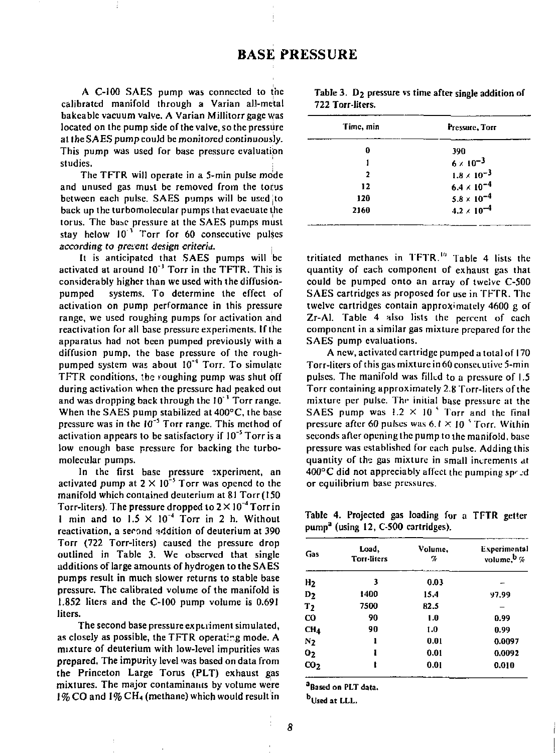A C-100 SAES pump was connected to the calibrated manifold through a Varian all-metal bakeable vacuum valve. A Varian Millitorr gage was located on the pump side of the valve, so the pressure at the SAES pump could be monitored continuously. This pump was used for base pressure evaluation studies.

The TFTR will operate in a 5-min pulse mode and unused gas must be removed from the torus between each pulse. SAES pumps will be used to back up the turbomolccular pumps thai evacuate the torus. The baae pressure at the SAES pumps must stay helow  $10^{-3}$  Torr for 60 consecutive pulses *according to preterit design criterid. ,* 

It is anticipated that SAES pumps will be activated at around 10<sup>-3</sup> Torr in the TFTR. This is considerably higher than we used with the diffusionpumped systems. To determine the effect of activation on pump performance in this pressure range, we used roughing pumps for activation and reactivation for all base pressure experiments. If the apparatus had not been pumped previously with a diffusion pump, the base pressure of the roughpumped system was about I0"<sup>4</sup> Torr. To simulate TFTR conditions, ibe toughing pump was shut off during activation when the pressure had peaked out and was dropping back through the 10"' Torr range. When the SAES pump stabilized at 400°C, the base pressure was in the  $10^{-5}$  Torr range. This method of activation annears to be satisfactory if 10<sup>-5</sup> Torr is a low enough base pressure for backing the turbomolecular pumps.

In the first base pressure experiment, an activated pump at  $2 \times 10^{-5}$  Torr was opened to the manifold which contained deuterium at 81 Torr(I50 Torr-liters). The pressure dropped to  $2 \times 10^{-4}$  Torr in 1 min and to  $1.5 \times 10^{-4}$  Torr in 2 h. Without reactivation, a serond addition of deuterium at 390 Torr (722 Torr-liters) caused the pressure drop outlined in Table 3. We observed that single additions of large amounts of hydrogen to the SAES pumps result in much slower returns to stable base pressure. The calibrated volume of the manifold is 1.852 liters and the C-100 pump volume is 0.691 liters.

The second base pressure experiment simulated, as closely as possible, the TFTR operating mode. A mixture of deuterium with low-level impurities was prepared, The impurity level was based on data from the Princeton Large Torus {PLT) exhaust gas mixtures. The major contaminants by volume were 1% CO and 1% CH<sub>4</sub> (methane) which would result in

|                  |  | Table 3. D <sub>2</sub> pressure vs time after single addition of |
|------------------|--|-------------------------------------------------------------------|
| 722 Torr-liters. |  |                                                                   |

| Time, min | Pressure, Torr       |  |
|-----------|----------------------|--|
| 0         | 390                  |  |
|           | $6 \times 10^{-3}$   |  |
| ,         | $1.8 \times 10^{-3}$ |  |
| 12        | $6.4 \times 10^{-4}$ |  |
| 120       | $5.8 \times 10^{-4}$ |  |
| 2160      | $4.2 \times 10^{-4}$ |  |

tritiated methanes in TFTR.<sup>1</sup> " Table 4 lists the quantity of each component of exhaust gas that could be pumped onto an array of twelve C-500 SAES cartridges as proposed for use in TFTR. The twelve cartridges contain approximately 4600 g of Zr-Al. Table 4 also lists the percent of each component in a similar gas mixture prepared for the SAES pump evaluations.

A new, activated cartridge pumped a total of 170 Torr-liters of this gas mixture in 60 consecutive 5-min pulses. The manifold was filled to a pressure of 1.5 Torr containing approximately 2.8 Torr-liters of the mixture per pulse. The initial base pressure at the SAES pump was !.2 X 10 *\** Torr and the final pressure after 60 pulses was  $6.1 \times 10^{-5}$  Torr. Within seconds after opening the pump to the manifold, base pressure was established for each pulse. Adding this quantity of the gas mixture in small increments at 400°C did not appreciably affect the pumping speed or equilibrium base pressures.

Table 4. Projected gas loading for a TFTR getter pump<sup>a</sup> (using 12, C-500 cartridges).

| Gas             | Load,<br><b>Torr-liters</b> | Volume,<br>H | <b>Experimental</b><br>volume. <sup>b</sup> % |
|-----------------|-----------------------------|--------------|-----------------------------------------------|
| H <sub>2</sub>  | 3                           | 0.03         |                                               |
| $D_2$           | 1400                        | 15.4         | 97.99                                         |
| T <sub>2</sub>  | 7500                        | 82.5         |                                               |
| CO              | 90                          | 1.0          | 0.99                                          |
| CH <sub>4</sub> | 90                          | 1.0          | 0.99                                          |
| N <sub>2</sub>  | ı                           | 0.01         | 0.0097                                        |
| 0 <sub>2</sub>  | ı                           | 0.01         | 0.0092                                        |
| CO <sub>2</sub> | t                           | 0.01         | 0.010                                         |
|                 |                             |              |                                               |

**<sup>a</sup>Based on PLT data.** 

**bUsed at LLL.**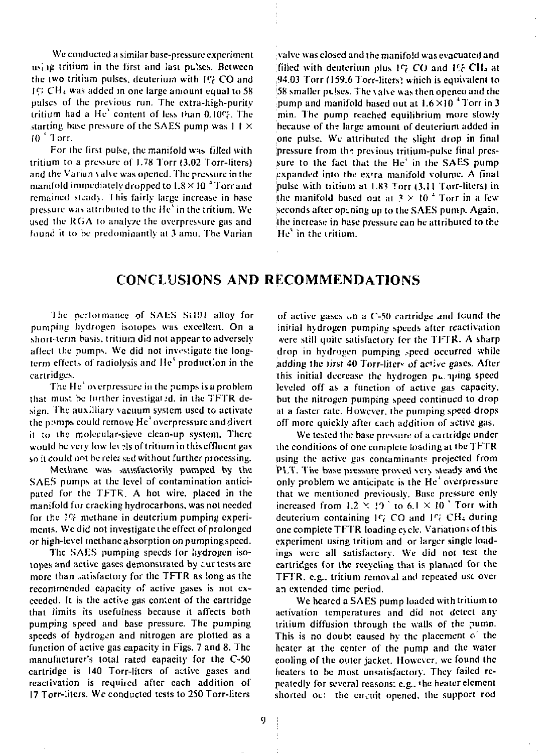We conducted a similar base-pressure experiment using tritium in the first and last pu'ses. Between the two tritium pulses, deuterium with IC<sub>i</sub> CO and 1C: CH<sub>4</sub> was added in one large amount equal to 58 pulses of the previous run. The cxtra-high-purily tritium had a He' content of less than 0.10\*7-. The starting base pressure of the SAES pump was 1 I X  $10<sup>3</sup>$  Torr.

For the first pulse, the manifold was filled with tritium to a pressure of 1.78 Torr (3.02 f orr-liters) and the Varian valve was opened. The pressure in the manifold immediately dropped to 1.8 X 10 <sup>4</sup> Torr and remained stead). I his fairly large increase in base pressure was attributed to the He' in the tritium. We used the RCiA to analyze the overpressure gas and found It to be predominantly at 3 amu. The Varian valve was closed and the manifold was evacuated and filled with deuterium plus I<7 CO and *V'c* CH <sup>4</sup> at 94.03 Torr (159.6 Torr-liters) which is equivalent to 58 smaller pulses. The valve was then openeu and the pump and manifold based out at  $1.6 \times 10^{-4}$  Torr in 3 min. The pump reached equilibrium more slowly because of the large amount of deuterium added in one pulse. Wc attributed the slight drop in final pressure from the previous tritium-pulse final pressure to the fact that the He' in the SAES pump expanded into the ex'ra manifold volume. A final pulse with tritium at 1.83 Torr (3.11 Torr-liters) in the manifold based out at  $3 \times 10^{-4}$  Torr in a few Seconds after opening up to the SAES pump. Again, the increase in base pressure can be attributed to the He"' in the tritium.

## **CONCLUSIONS AND RECOMMENDATIONS**

'I he performance of SAES Si 101 alloy for pumping hydrogen isotopes was excellent. On a short-term basis, tritium did not appear to adversely affect the pumps. Wc did not investigate the longterm effects of radiolysis and Me' production in the cartridges.

The He<sup>4</sup> overpressure in the pumps is a problem that must be further investigated, in the TFTR design. The auxiliary vacuum system used to activate the p://mps.could remove He' overpressure and divert it to the molecular-sieve clean-up system. There would be very low let ?ls of tritium in this effluent gas so it could not be rele; sed without further processing.

Methane was satisfactorily pumped by the SAES pumps at the level of contamination anticipated for the TFTR. A hot wire, placed in the manifold for cracking hydrocarbons, was not needed for the 1% methane in deuterium pumping experiments. We did not investigate the effect of prolonged or high-level methane absorption on pumping speed.

The SAES pumping speeds for hydrogen isotopes and active gases demonstrated by cur tests are more than satisfactory for the TFTR as long as the recommended capacity *o^* active gases is not exceeded. It is the active gas coment of the cartridge that limits its usefulness because it affects both pumping speed and base pressure. The pumping speeds of hydrogen and nitrogen arc plotted as a function of active gas capacity in Figs. 7 and 8. The manufacturer's total rated capacity for the C-50 cartridge is 140 Torr-liters of active gases and reactivation is required after each addition of 17 Torr-liters. We conducted tests to 250 Torr-liters

of active gases on a C-50 cartridge and found the initial hydrogen pumping speeds alter reactivation •vcrc still quite satisfactory for the TFTR. A sharp drop in hydrogen pumping speed occurred while adding the first 40 Torr-liters of active gases. After this initial decrease the hydrogen pu. uing speed leveled off as a function of active gas capacity, but the nitrogen pumping speed continued to drop al a faster rate. However, the pumping speed drops off more quickly after each addition of active gas.

We tested the base pressure of a cartridge under the conditions of one complete loading al the TFTR using the active gas concaminants projected from PLT. The base pressure proved very steady and the only problem we anticipate is the He' overpressure that we mentioned previously. Base pressure only increased from  $1.2 \times 10^{5}$  to 6.1  $\times 10^{5}$  Torr with deuterium containing *\<sup>c</sup> [* CO and *\<sup>r</sup> i CH\** during one complete TFTR loading cycle. Variations of this experiment using tritium and or larger single loadings were all satisfactory. We did not test the cartridges for the recycling that is planned for the TFTR. e.g.. tritium removal and repeated use over an extended time period.

Wc heated a SAES pump loaded with tritium to activation temperatures and did not detect any tritium diffusion through the walls of the pumn. This is no doubt caused by the placement *o r* the heater at the center of the pump and the water cooling of the outer jacket. However, we found the heaters to be most unsatisfactory. They failed repeatedly for several reasons; e.g.. the heater element shorted ov: the circuit opened, the support rod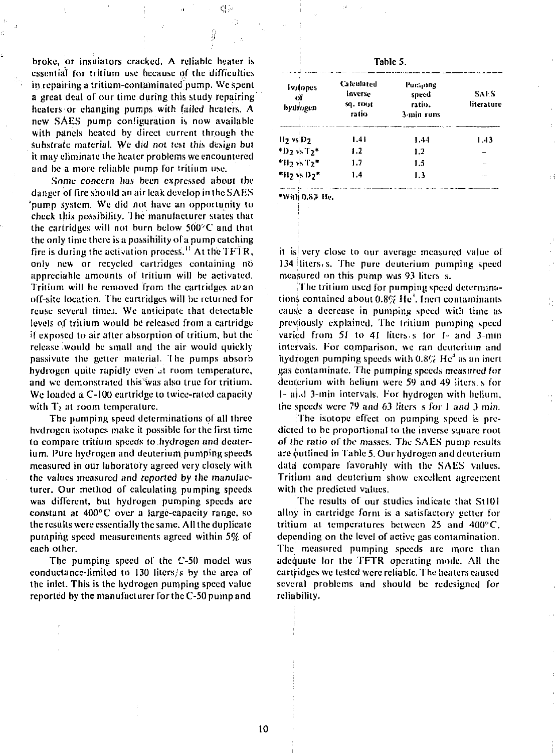broke, or insulators cracked. A reliable heater is essential for tritium use because of (he difficulties in repairing a tritium-contaminated pump. Wc spent a great deal of our time during this study repairing heaters or changing pumps with (ailed heaters. A new SAES pump configuration is now available with panels heated by direct current through the substrate material. We did not test this design but it may eliminate the healer problems we encountered and be a more reliable pump for tritium use.

d k

Some *concern* has been expressed about the danger of fire should an air leak develop in the SAES pump system. We did not have an opportunity to check this possibility. 1 he manufacturer states that the cartridges will not burn below 500°C and that the only time there is a possibility of a pump catching fire is during the activation process.<sup>11</sup> At the TFTR, only new or recycled cartridges containing no appreciable amounts of tritium will be activated. Tritium will be removed from the cartridges at an off-site location. The cartridges will be returned for reuse several time.;. We anticipate that detectable levels of tritium would be released from a cartridge if exposed to air after absorption of tritium, but the release would be small and the air would quickly passivatc the getter material- I he pumps absorb hydrogen quite rapidly even at room temperature, and wc demonstrated this'was also true for tritium. We loaded *a* C-100 cartridge to twice-rated capacity with  $T_2$  at room temperature.

The pumping speed determinations of all three hvdrogen isotopes make it possible for the first time to compare tritium speeds to.hydrogen and deuterium. Pure hydrogen and deuterium pumping speeds measured in our laboratory agreed very closely with the values measured and reported by the manufacturer. Our method of calculating pumping speeds was different, but hydrogen pumping speeds are constant at 400°C over a large-capacity range, so the results were essentially the same. All the duplicate pumping speed measurements agreed within 5% of each other.

The pumping speed of the C-50 model was conductance-limited to 130 liters/s by the area of the inlet. This is the hydrogen pumping speed value reported by the manufacturer for the C-50 pump and

|  |  | able |  |
|--|--|------|--|
|--|--|------|--|

| Isolopes<br>of<br>hydrogen                  | Calculated<br>inverse<br>sq. root<br>ratio | Pursone<br>speed<br>ratio.<br>3-min runs | SAF S<br>literature |
|---------------------------------------------|--------------------------------------------|------------------------------------------|---------------------|
| H <sub>2</sub> vsD <sub>2</sub>             | 1.41                                       | 1.44                                     | 1.43                |
| $*D_2$ $+5T_2*$                             | 1.2                                        | 1.2                                      |                     |
| $*$ H <sub>2</sub> $+$ s T <sub>2</sub> $*$ | 1.7                                        | 1.5                                      | -                   |
| *H <sub>2</sub> vs D <sub>2</sub> *         | 1.4                                        | 1.3                                      |                     |

•Willi 0.SP He.

it isi very close to our average measured value of  $134$  liters, s. The pure deuterium pumping speed measured on this pump was 93 liters s.

'I he tritium used for pumping speed determinations contained about  $0.8\%$  He<sup> $+$ </sup>. Inert contaminants eauslc a decrease in pumping speed with lime as previously explained. The Irilium pumping speed varied from 51 to 41 fiters s for 1- and 3-min intervals. For comparison, we ran deuterium and hydrogen pumping speeds with  $0.8\%$  He<sup>4</sup> as an inert gas contaminate. The pumping speeds measured *for*  deuterium with helium were 59 and 49 liters s for I- a|.d 3-min intervals. For hydrogen with helium, the speeds were 79 and 63 liters *&* for J and 3 min.

The isotope effect on pumping speed is predicted to be proportional to the inverse square root *of* the ratio of the masses. The SAES pump results are putlincd in Table 5. Our hydrogen and deuterium data compare favorably wiih the SAES values. Tritium and deuterium show excellent agreement with the predicted values.

The results of our studies indicate that StlOI alloy in cartridge form is a satisfactory getter for tritium at temperatures between 25 and 400° C. depending on the level of active gas contamination. The measured pumping speeds are more than adequate for the TFTR operating mode. All the cartridges wc tested were reliable. The heaters caused several problems and should be redesigned for reliability.